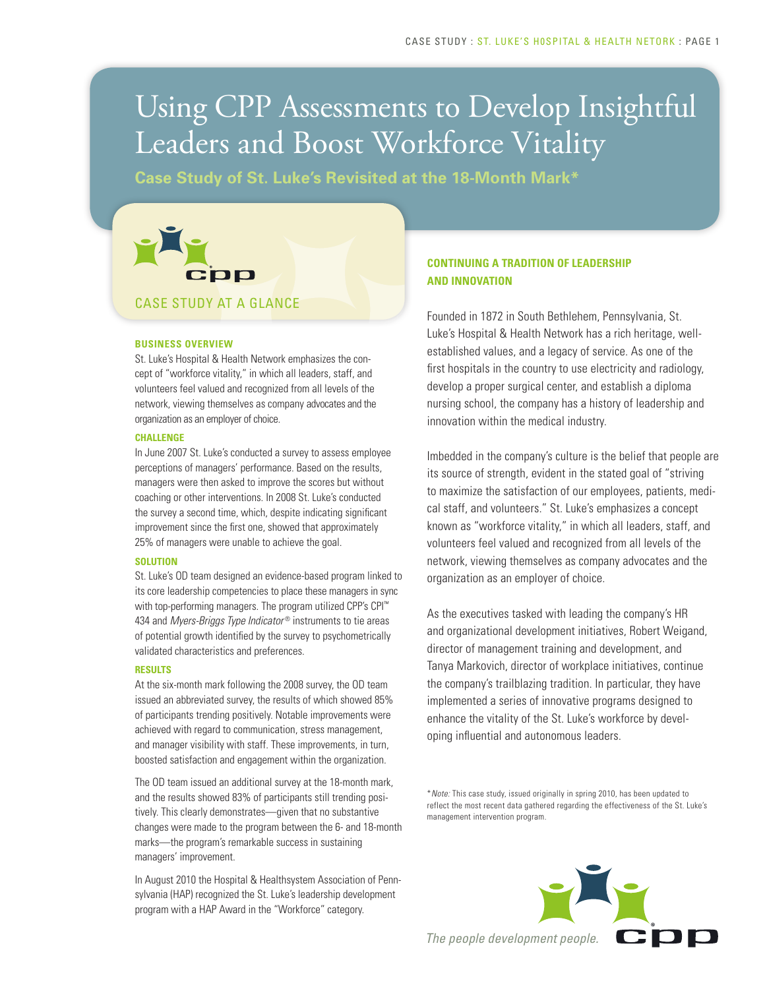# Using CPP Assessments to Develop Insightful Leaders and Boost Workforce Vitality

**Case Study of St. Luke's Revisited at the 18-Month Mark\***



#### **BUSINESS OVERVIEW**

St. Luke's Hospital & Health Network emphasizes the concept of "workforce vitality," in which all leaders, staff, and volunteers feel valued and recognized from all levels of the network, viewing themselves as company advocates and the organization as an employer of choice.

#### **CHALLENGE**

In June 2007 St. Luke's conducted a survey to assess employee perceptions of managers' performance. Based on the results, managers were then asked to improve the scores but without coaching or other interventions. In 2008 St. Luke's conducted the survey a second time, which, despite indicating significant improvement since the first one, showed that approximately 25% of managers were unable to achieve the goal.

#### **SOLUTION**

St. Luke's OD team designed an evidence-based program linked to its core leadership competencies to place these managers in sync with top-performing managers. The program utilized CPP's CPI™ 434 and *Myers-Briggs Type Indicator®* instruments to tie areas of potential growth identified by the survey to psychometrically validated characteristics and preferences.

#### **RESULTS**

At the six-month mark following the 2008 survey, the OD team issued an abbreviated survey, the results of which showed 85% of participants trending positively. Notable improvements were achieved with regard to communication, stress management, and manager visibility with staff. These improvements, in turn, boosted satisfaction and engagement within the organization.

The OD team issued an additional survey at the 18-month mark, and the results showed 83% of participants still trending positively. This clearly demonstrates—given that no substantive changes were made to the program between the 6- and 18-month marks—the program's remarkable success in sustaining managers' improvement.

In August 2010 the Hospital & Healthsystem Association of Pennsylvania (HAP) recognized the St. Luke's leadership development program with a HAP Award in the "Workforce" category.

#### **CONTINUING A TRADITION OF LEADERSHIP AND INNOVATION**

Founded in 1872 in South Bethlehem, Pennsylvania, St. Luke's Hospital & Health Network has a rich heritage, wellestablished values, and a legacy of service. As one of the first hospitals in the country to use electricity and radiology, develop a proper surgical center, and establish a diploma nursing school, the company has a history of leadership and innovation within the medical industry.

Imbedded in the company's culture is the belief that people are its source of strength, evident in the stated goal of "striving to maximize the satisfaction of our employees, patients, medical staff, and volunteers." St. Luke's emphasizes a concept known as "workforce vitality," in which all leaders, staff, and volunteers feel valued and recognized from all levels of the network, viewing themselves as company advocates and the organization as an employer of choice.

As the executives tasked with leading the company's HR and organizational development initiatives, Robert Weigand, director of management training and development, and Tanya Markovich, director of workplace initiatives, continue the company's trailblazing tradition. In particular, they have implemented a series of innovative programs designed to enhance the vitality of the St. Luke's workforce by developing influential and autonomous leaders.

\**Note:* This case study, issued originally in spring 2010, has been updated to reflect the most recent data gathered regarding the effectiveness of the St. Luke's management intervention program.

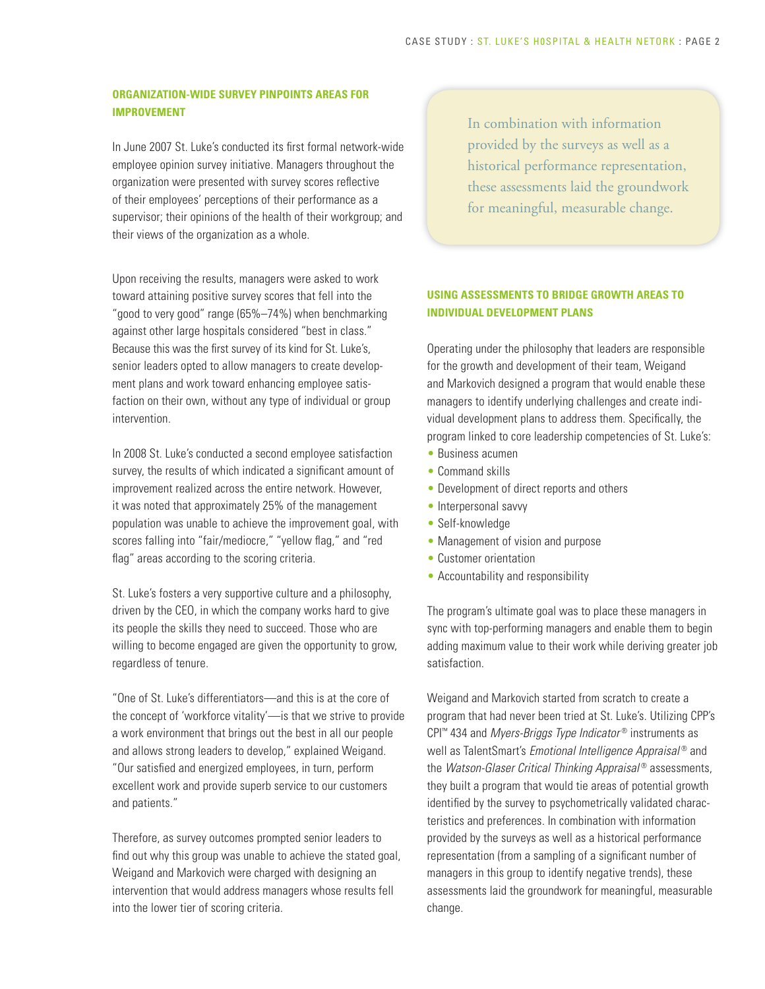### **ORGANIZATION-WIDE SURVEY PINPOINTS AREAS FOR IMPROVEMENT**

In June 2007 St. Luke's conducted its first formal network-wide employee opinion survey initiative. Managers throughout the organization were presented with survey scores reflective of their employees' perceptions of their performance as a supervisor; their opinions of the health of their workgroup; and their views of the organization as a whole.

Upon receiving the results, managers were asked to work toward attaining positive survey scores that fell into the "good to very good" range (65%–74%) when benchmarking against other large hospitals considered "best in class." Because this was the first survey of its kind for St. Luke's, senior leaders opted to allow managers to create development plans and work toward enhancing employee satisfaction on their own, without any type of individual or group intervention.

In 2008 St. Luke's conducted a second employee satisfaction survey, the results of which indicated a significant amount of improvement realized across the entire network. However, it was noted that approximately 25% of the management population was unable to achieve the improvement goal, with scores falling into "fair/mediocre," "yellow flag," and "red flag" areas according to the scoring criteria.

St. Luke's fosters a very supportive culture and a philosophy, driven by the CEO, in which the company works hard to give its people the skills they need to succeed. Those who are willing to become engaged are given the opportunity to grow, regardless of tenure.

"One of St. Luke's differentiators—and this is at the core of the concept of 'workforce vitality'—is that we strive to provide a work environment that brings out the best in all our people and allows strong leaders to develop," explained Weigand. "Our satisfied and energized employees, in turn, perform excellent work and provide superb service to our customers and patients."

Therefore, as survey outcomes prompted senior leaders to find out why this group was unable to achieve the stated goal, Weigand and Markovich were charged with designing an intervention that would address managers whose results fell into the lower tier of scoring criteria.

In combination with information provided by the surveys as well as a historical performance representation, these assessments laid the groundwork for meaningful, measurable change.

## **USING ASSESSMENTS TO BRIDGE GROWTH AREAS TO INDIVIDUAL DEVELOPMENT PLANS**

Operating under the philosophy that leaders are responsible for the growth and development of their team, Weigand and Markovich designed a program that would enable these managers to identify underlying challenges and create individual development plans to address them. Specifically, the program linked to core leadership competencies of St. Luke's:

- Business acumen
- Command skills
- Development of direct reports and others
- Interpersonal savvy
- Self-knowledge
- Management of vision and purpose
- Customer orientation
- Accountability and responsibility

The program's ultimate goal was to place these managers in sync with top-performing managers and enable them to begin adding maximum value to their work while deriving greater job satisfaction.

Weigand and Markovich started from scratch to create a program that had never been tried at St. Luke's. Utilizing CPP's CPI™ 434 and *Myers-Briggs Type Indicator* ® instruments as well as TalentSmart's *Emotional Intelligence Appraisal* ® and the *Watson-Glaser Critical Thinking Appraisal* ® assessments, they built a program that would tie areas of potential growth identified by the survey to psychometrically validated characteristics and preferences. In combination with information provided by the surveys as well as a historical performance representation (from a sampling of a significant number of managers in this group to identify negative trends), these assessments laid the groundwork for meaningful, measurable change.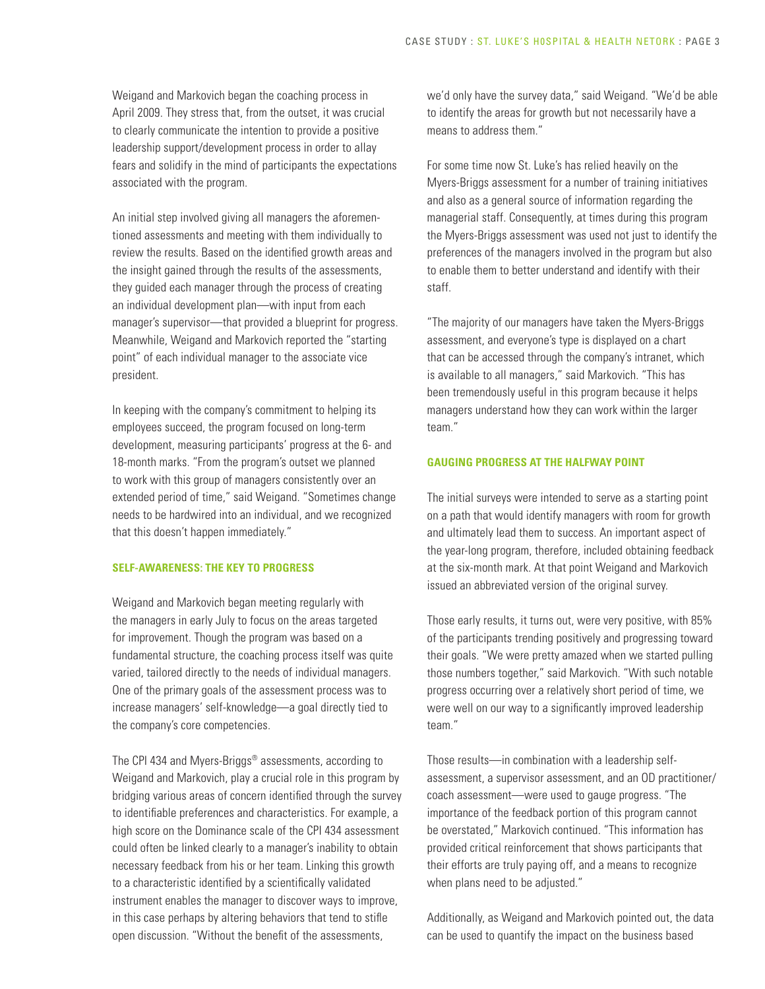Weigand and Markovich began the coaching process in April 2009. They stress that, from the outset, it was crucial to clearly communicate the intention to provide a positive leadership support/development process in order to allay fears and solidify in the mind of participants the expectations associated with the program.

An initial step involved giving all managers the aforementioned assessments and meeting with them individually to review the results. Based on the identified growth areas and the insight gained through the results of the assessments, they guided each manager through the process of creating an individual development plan—with input from each manager's supervisor—that provided a blueprint for progress. Meanwhile, Weigand and Markovich reported the "starting point" of each individual manager to the associate vice president.

In keeping with the company's commitment to helping its employees succeed, the program focused on long-term development, measuring participants' progress at the 6- and 18-month marks. "From the program's outset we planned to work with this group of managers consistently over an extended period of time," said Weigand. "Sometimes change needs to be hardwired into an individual, and we recognized that this doesn't happen immediately."

#### **SELF-AWARENESS: THE KEY TO PROGRESS**

Weigand and Markovich began meeting regularly with the managers in early July to focus on the areas targeted for improvement. Though the program was based on a fundamental structure, the coaching process itself was quite varied, tailored directly to the needs of individual managers. One of the primary goals of the assessment process was to increase managers' self-knowledge—a goal directly tied to the company's core competencies.

The CPI 434 and Myers-Briggs® assessments, according to Weigand and Markovich, play a crucial role in this program by bridging various areas of concern identified through the survey to identifiable preferences and characteristics. For example, a high score on the Dominance scale of the CPI 434 assessment could often be linked clearly to a manager's inability to obtain necessary feedback from his or her team. Linking this growth to a characteristic identified by a scientifically validated instrument enables the manager to discover ways to improve, in this case perhaps by altering behaviors that tend to stifle open discussion. "Without the benefit of the assessments,

we'd only have the survey data," said Weigand. "We'd be able to identify the areas for growth but not necessarily have a means to address them."

For some time now St. Luke's has relied heavily on the Myers-Briggs assessment for a number of training initiatives and also as a general source of information regarding the managerial staff. Consequently, at times during this program the Myers-Briggs assessment was used not just to identify the preferences of the managers involved in the program but also to enable them to better understand and identify with their staff.

"The majority of our managers have taken the Myers-Briggs assessment, and everyone's type is displayed on a chart that can be accessed through the company's intranet, which is available to all managers," said Markovich. "This has been tremendously useful in this program because it helps managers understand how they can work within the larger team."

#### **GAUGING PROGRESS AT THE HALFWAY POINT**

The initial surveys were intended to serve as a starting point on a path that would identify managers with room for growth and ultimately lead them to success. An important aspect of the year-long program, therefore, included obtaining feedback at the six-month mark. At that point Weigand and Markovich issued an abbreviated version of the original survey.

Those early results, it turns out, were very positive, with 85% of the participants trending positively and progressing toward their goals. "We were pretty amazed when we started pulling those numbers together," said Markovich. "With such notable progress occurring over a relatively short period of time, we were well on our way to a significantly improved leadership team."

Those results—in combination with a leadership selfassessment, a supervisor assessment, and an OD practitioner/ coach assessment—were used to gauge progress. "The importance of the feedback portion of this program cannot be overstated," Markovich continued. "This information has provided critical reinforcement that shows participants that their efforts are truly paying off, and a means to recognize when plans need to be adjusted."

Additionally, as Weigand and Markovich pointed out, the data can be used to quantify the impact on the business based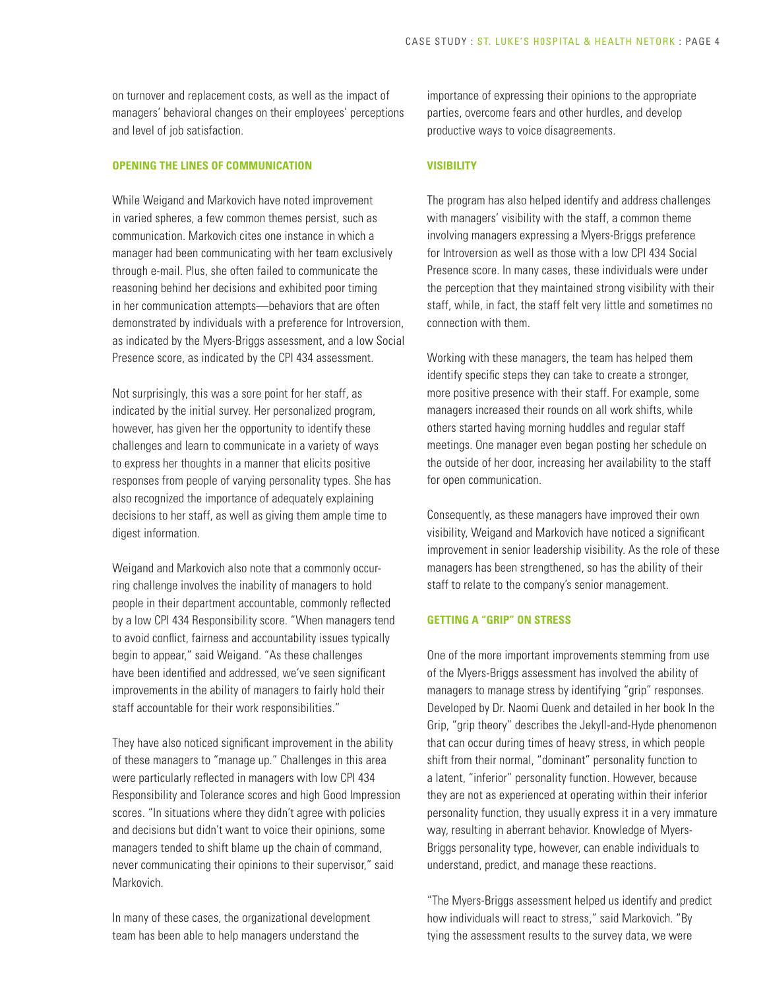on turnover and replacement costs, as well as the impact of managers' behavioral changes on their employees' perceptions and level of job satisfaction.

#### **OPENING THE LINES OF COMMUNICATION**

While Weigand and Markovich have noted improvement in varied spheres, a few common themes persist, such as communication. Markovich cites one instance in which a manager had been communicating with her team exclusively through e-mail. Plus, she often failed to communicate the reasoning behind her decisions and exhibited poor timing in her communication attempts—behaviors that are often demonstrated by individuals with a preference for Introversion, as indicated by the Myers-Briggs assessment, and a low Social Presence score, as indicated by the CPI 434 assessment.

Not surprisingly, this was a sore point for her staff, as indicated by the initial survey. Her personalized program, however, has given her the opportunity to identify these challenges and learn to communicate in a variety of ways to express her thoughts in a manner that elicits positive responses from people of varying personality types. She has also recognized the importance of adequately explaining decisions to her staff, as well as giving them ample time to digest information.

Weigand and Markovich also note that a commonly occurring challenge involves the inability of managers to hold people in their department accountable, commonly reflected by a low CPI 434 Responsibility score. "When managers tend to avoid conflict, fairness and accountability issues typically begin to appear," said Weigand. "As these challenges have been identified and addressed, we've seen significant improvements in the ability of managers to fairly hold their staff accountable for their work responsibilities."

They have also noticed significant improvement in the ability of these managers to "manage up." Challenges in this area were particularly reflected in managers with low CPI 434 Responsibility and Tolerance scores and high Good Impression scores. "In situations where they didn't agree with policies and decisions but didn't want to voice their opinions, some managers tended to shift blame up the chain of command, never communicating their opinions to their supervisor," said Markovich.

In many of these cases, the organizational development team has been able to help managers understand the

importance of expressing their opinions to the appropriate parties, overcome fears and other hurdles, and develop productive ways to voice disagreements.

#### **VISIBILITY**

The program has also helped identify and address challenges with managers' visibility with the staff, a common theme involving managers expressing a Myers-Briggs preference for Introversion as well as those with a low CPI 434 Social Presence score. In many cases, these individuals were under the perception that they maintained strong visibility with their staff, while, in fact, the staff felt very little and sometimes no connection with them.

Working with these managers, the team has helped them identify specific steps they can take to create a stronger, more positive presence with their staff. For example, some managers increased their rounds on all work shifts, while others started having morning huddles and regular staff meetings. One manager even began posting her schedule on the outside of her door, increasing her availability to the staff for open communication.

Consequently, as these managers have improved their own visibility, Weigand and Markovich have noticed a significant improvement in senior leadership visibility. As the role of these managers has been strengthened, so has the ability of their staff to relate to the company's senior management.

#### **GETTING A "GRIP" ON STRESS**

One of the more important improvements stemming from use of the Myers-Briggs assessment has involved the ability of managers to manage stress by identifying "grip" responses. Developed by Dr. Naomi Quenk and detailed in her book In the Grip, "grip theory" describes the Jekyll-and-Hyde phenomenon that can occur during times of heavy stress, in which people shift from their normal, "dominant" personality function to a latent, "inferior" personality function. However, because they are not as experienced at operating within their inferior personality function, they usually express it in a very immature way, resulting in aberrant behavior. Knowledge of Myers-Briggs personality type, however, can enable individuals to understand, predict, and manage these reactions.

"The Myers-Briggs assessment helped us identify and predict how individuals will react to stress," said Markovich. "By tying the assessment results to the survey data, we were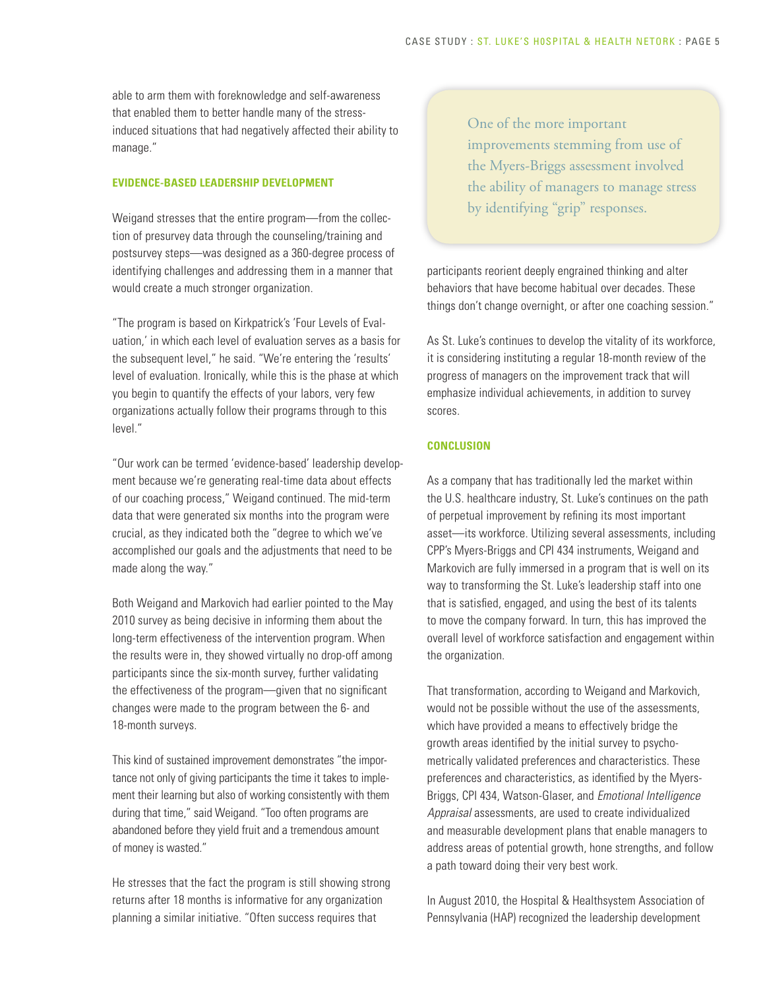able to arm them with foreknowledge and self-awareness that enabled them to better handle many of the stressinduced situations that had negatively affected their ability to manage."

#### **EVIDENCE-BASED LEADERSHIP DEVELOPMENT**

Weigand stresses that the entire program—from the collection of presurvey data through the counseling/training and postsurvey steps—was designed as a 360-degree process of identifying challenges and addressing them in a manner that would create a much stronger organization.

"The program is based on Kirkpatrick's 'Four Levels of Evaluation,' in which each level of evaluation serves as a basis for the subsequent level," he said. "We're entering the 'results' level of evaluation. Ironically, while this is the phase at which you begin to quantify the effects of your labors, very few organizations actually follow their programs through to this level."

"Our work can be termed 'evidence-based' leadership development because we're generating real-time data about effects of our coaching process," Weigand continued. The mid-term data that were generated six months into the program were crucial, as they indicated both the "degree to which we've accomplished our goals and the adjustments that need to be made along the way."

Both Weigand and Markovich had earlier pointed to the May 2010 survey as being decisive in informing them about the long-term effectiveness of the intervention program. When the results were in, they showed virtually no drop-off among participants since the six-month survey, further validating the effectiveness of the program—given that no significant changes were made to the program between the 6- and 18-month surveys.

This kind of sustained improvement demonstrates "the importance not only of giving participants the time it takes to implement their learning but also of working consistently with them during that time," said Weigand. "Too often programs are abandoned before they yield fruit and a tremendous amount of money is wasted."

He stresses that the fact the program is still showing strong returns after 18 months is informative for any organization planning a similar initiative. "Often success requires that

One of the more important improvements stemming from use of the Myers-Briggs assessment involved the ability of managers to manage stress by identifying "grip" responses.

participants reorient deeply engrained thinking and alter behaviors that have become habitual over decades. These things don't change overnight, or after one coaching session."

As St. Luke's continues to develop the vitality of its workforce, it is considering instituting a regular 18-month review of the progress of managers on the improvement track that will emphasize individual achievements, in addition to survey scores.

#### **CONCLUSION**

As a company that has traditionally led the market within the U.S. healthcare industry, St. Luke's continues on the path of perpetual improvement by refining its most important asset—its workforce. Utilizing several assessments, including CPP's Myers-Briggs and CPI 434 instruments, Weigand and Markovich are fully immersed in a program that is well on its way to transforming the St. Luke's leadership staff into one that is satisfied, engaged, and using the best of its talents to move the company forward. In turn, this has improved the overall level of workforce satisfaction and engagement within the organization.

That transformation, according to Weigand and Markovich, would not be possible without the use of the assessments, which have provided a means to effectively bridge the growth areas identified by the initial survey to psychometrically validated preferences and characteristics. These preferences and characteristics, as identified by the Myers-Briggs, CPI 434, Watson-Glaser, and *Emotional Intelligence Appraisal* assessments, are used to create individualized and measurable development plans that enable managers to address areas of potential growth, hone strengths, and follow a path toward doing their very best work.

In August 2010, the Hospital & Healthsystem Association of Pennsylvania (HAP) recognized the leadership development